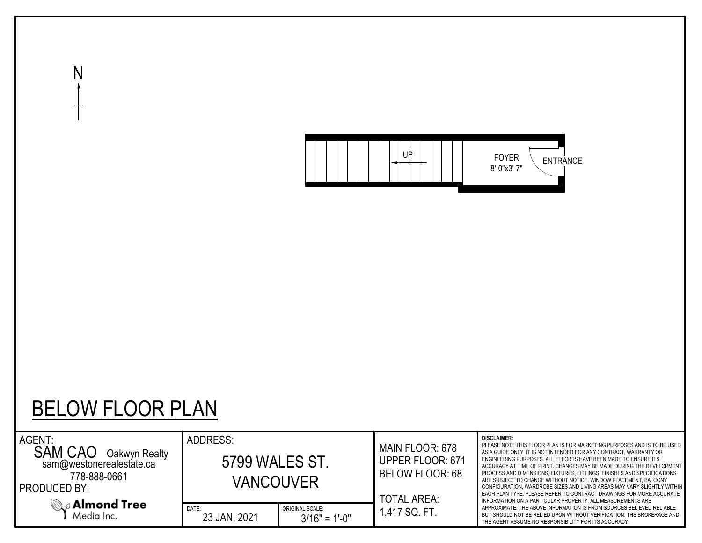

## BELOW FLOOR PLAN

N

| AGENT:<br><b>SAM CAO</b><br>Oakwyn Realty<br>sam@westonerealestate.ca<br>778-888-0661<br><b>PRODUCED BY:</b> | ADDRESS:<br>5799 WALES ST. | VANCOUVER                          | MAIN FLOOR: 678<br><b>UPPER FLOOR: 671</b><br><b>BELOW FLOOR: 68</b><br><b>TOTAL AREA:</b> | <b>DISCLAIMER:</b><br>PLEASE NOTE THIS FLOOR PLAN IS FOR MARKETING PURPOSES AND IS TO BE USED<br>AS A GUIDE ONLY. IT IS NOT INTENDED FOR ANY CONTRACT, WARRANTY OR<br>ENGINEERING PURPOSES. ALL EFFORTS HAVE BEEN MADE TO ENSURE ITS<br>ACCURACY AT TIME OF PRINT. CHANGES MAY BE MADE DURING THE DEVELOPMENT<br>PROCESS AND DIMENSIONS, FIXTURES, FITTINGS, FINISHES AND SPECIFICATIONS<br>ARE SUBJECT TO CHANGE WITHOUT NOTICE. WINDOW PLACEMENT, BALCONY<br>CONFIGURATION, WARDROBE SIZES AND LIVING AREAS MAY VARY SLIGHTLY WITHIN<br>EACH PLAN TYPE. PLEASE REFER TO CONTRACT DRAWINGS FOR MORE ACCURATE<br>INFORMATION ON A PARTICULAR PROPERTY. ALL MEASUREMENTS ARE |  |  |  |  |
|--------------------------------------------------------------------------------------------------------------|----------------------------|------------------------------------|--------------------------------------------------------------------------------------------|-----------------------------------------------------------------------------------------------------------------------------------------------------------------------------------------------------------------------------------------------------------------------------------------------------------------------------------------------------------------------------------------------------------------------------------------------------------------------------------------------------------------------------------------------------------------------------------------------------------------------------------------------------------------------------|--|--|--|--|
| $\mathbb{Q}_{\varnothing}$ Almond Tree<br>Media Inc.                                                         | DATE:<br>23 JAN, 2021      | ORIGINAL SCALE:<br>$3/16" = 1'-0"$ | 1,417 SQ. FT.                                                                              | APPROXIMATE. THE ABOVE INFORMATION IS FROM SOURCES BELIEVED RELIABLE<br>BUT SHOULD NOT BE RELIED UPON WITHOUT VERIFICATION. THE BROKERAGE AND<br>THE AGENT ASSUME NO RESPONSIBILITY FOR ITS ACCURACY.                                                                                                                                                                                                                                                                                                                                                                                                                                                                       |  |  |  |  |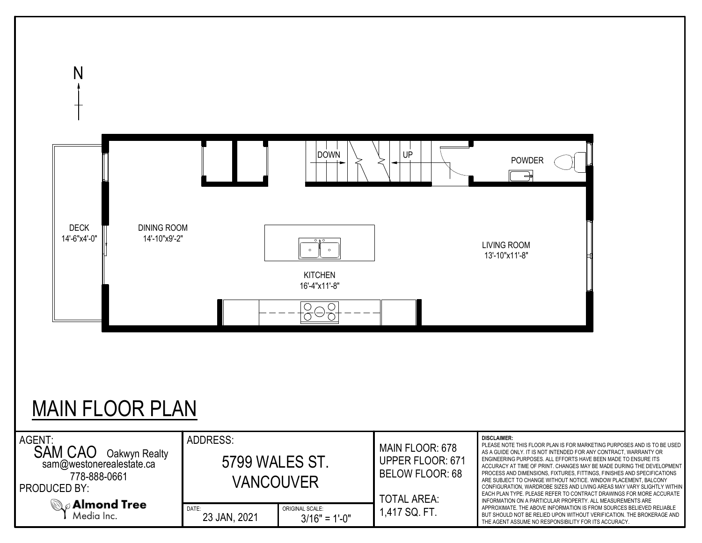